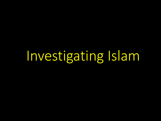Investigating Islam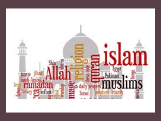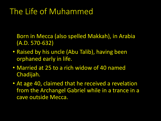#### The Life of Muhammed

Born in Mecca (also spelled Makkah), in Arabia (A.D. 570-632)

- Raised by his uncle (Abu Talib), having been orphaned early in life.
- Married at 25 to a rich widow of 40 named Chadijah.
- At age 40, claimed that he received a revelation from the Archangel Gabriel while in a trance in a cave outside Mecca.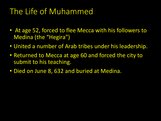#### The Life of Muhammed

- At age 52, forced to flee Mecca with his followers to Medina (the "Hegira")
- United a number of Arab tribes under his leadership.
- Returned to Mecca at age 60 and forced the city to submit to his teaching.
- Died on June 8, 632 and buried at Medina.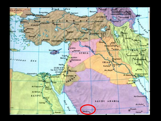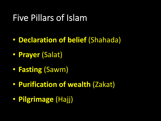## Five Pillars of Islam

- **Declaration of belief** (Shahada)
- **Prayer** (Salat)
- **Fasting** (Sawm)
- **Purification of wealth** (Zakat)
- **Pilgrimage** (Hajj)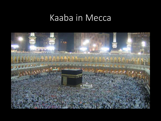#### Kaaba in Mecca

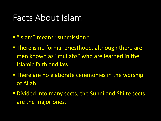#### Facts About Islam

- **F** "Islam" means "submission."
- There is no formal priesthood, although there are men known as "mullahs" who are learned in the Islamic faith and law.
- **There are no elaborate ceremonies in the worship** of Allah.
- **Divided into many sects; the Sunni and Shiite sects** are the major ones.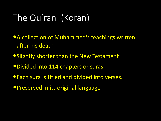## The Qu'ran (Koran)

- A collection of Muhammed's teachings written after his death
- •Slightly shorter than the New Testament
- •Divided into 114 chapters or suras
- •Each sura is titled and divided into verses.
- •Preserved in its original language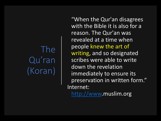# The Qu'ran (Koran)

"When the Qur'an disagrees with the Bible it is also for a reason. The Qur'an was revealed at a time when people knew the art of writing, and so designated scribes were able to write down the revelation immediately to ensure its preservation in written form." Internet:

[http://www.](http://www/)muslim.org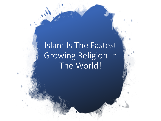### Islam Is The Fastest Growing Religion In The World!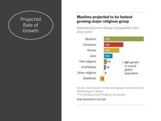

#### Muslims projected to be fastestgrowing major religious group

Estimated percent change in population size, 2015-2000



Source: Pew Research Genter demographic projections. See: Methodology for details.

"The Changing Global Religious Landscape".

#### **PEW RESEARCH CENTER:**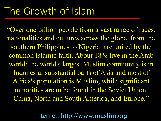# The Growth of Islam

"Over one billion people from a vast range of races, nationalities and cultures across the globe, from the southern Philippines to Nigeria, are united by the common Islamic faith. About 18% live in the Arab world; the world's largest Muslim community is in Indonesia; substantial parts of Asia and most of Africa's population is Muslim, while significant minorities are to be found in the Soviet Union, China, North and South America, and Europe."

Internet: http://www.muslim.org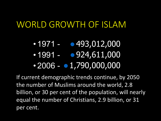### WORLD GROWTH OF ISLAM

 $\cdot$  1971 -  $\cdot$  493,012,000  $\cdot$  1991 -  $\cdot$  924,611,000  $\cdot$  2006 -  $\bullet$  1,790,000,000

If current demographic trends continue, by 2050 the number of Muslims around the world, 2.8 billion, or 30 per cent of the population, will nearly equal the number of Christians, 2.9 billion, or 31 per cent.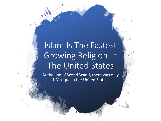#### Islam Is The Fastest Growing Religion In The United States

At the end of World War II, there was only 1 Mosque in the United States.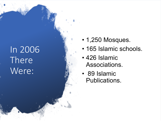# In 2006 There Were:

- 1,250 Mosques.
- 165 Islamic schools.
- 426 Islamic Associations.
- 89 Islamic Publications.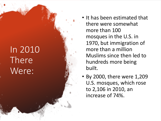# In 2010 **There** Were:

- It has been estimated that there were somewhat more than 100 mosques in the U.S. in 1970, but immigration of more than a million Muslims since then led to hundreds more being built.
- By 2000, there were 1,209 U.S. mosques, which rose to 2,106 in 2010, an increase of 74%.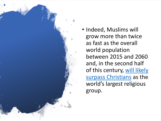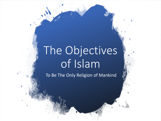# The Objectives of Islam

To Be The Only Religion of Mankind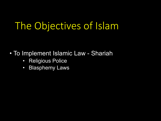# The Objectives of Islam

• To Implement Islamic Law - Shariah

- Religious Police
- Blasphemy Laws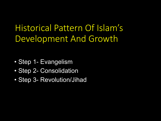Historical Pattern Of Islam's Development And Growth

- Step 1- Evangelism
- Step 2- Consolidation
- Step 3- Revolution/Jihad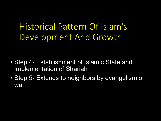Historical Pattern Of Islam's Development And Growth

- Step 4- Establishment of Islamic State and Implementation of Shariah
- Step 5- Extends to neighbors by evangelism or war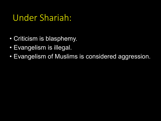### Under Shariah:

- Criticism is blasphemy.
- Evangelism is illegal.
- Evangelism of Muslims is considered aggression.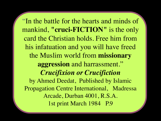"In the battle for the hearts and minds of mankind, **"cruci-FICTION"** is the only card the Christian holds. Free him from his infatuation and you will have freed the Muslim world from **missionary aggression** and harrassment." *Crucifixion or Crucifiction* by Ahmed Deedat, Published by Islamic Propagation Centre International, Madressa Arcade, Durban 4001, R.S.A. 1st print March 1984 P.9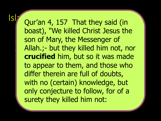$\begin{array}{|c|c|c|c|}\n\hline\n\text{S} & \text{O} & \text{O} & \text{O} & \text{A} & \text{A} & \text{B} & \text{C} \\
\hline\n\end{array}$ | son of Mary, the Messenger of • Allah., Duc they Kill **crucified** him, but so it was made to appear to them, and those who at thorain are Qur'an 4, 157 That they said (in boast), "We killed Christ Jesus the Allah.;- but they killed him not, nor differ therein are full of doubts, with no (certain) knowledge, but only conjecture to follow, for of a surety they killed him not: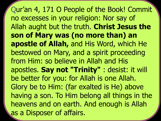no excesses in your religion: Nor say of apostle of Allah, and His Word, which He bestowed on Mary, and Qur'an 4, 171 O People of the Book! Commit Allah aught but the truth. **Christ Jesus the son of Mary was (no more than) an**  bestowed on Mary, and a spirit proceeding from Him: so believe in Allah and His apostles. **Say not "Trinity"** : desist: it will be better for you: for Allah is one Allah. Glory be to Him: (far exalted is He) above having a son. To Him belong all things in the heavens and on earth. And enough is Allah as a Disposer of affairs.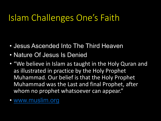# Islam Challenges One's Faith

- Jesus Ascended Into The Third Heaven
- Nature Of Jesus Is Denied
- "We believe in Islam as taught in the Holy Quran and as illustrated in practice by the Holy Prophet Muhammad. Our belief is that the Holy Prophet Muhammad was the Last and final Prophet, after whom no prophet whatsoever can appear."
- [www.muslim.org](http://www.muslim.org/)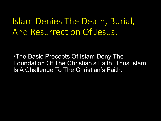Islam Denies The Death, Burial, And Resurrection Of Jesus.

•The Basic Precepts Of Islam Deny The Foundation Of The Christian's Faith, Thus Islam Is A Challenge To The Christian's Faith.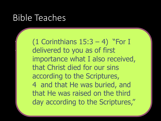$\vert$  (1 Corinthians 15:3 – 4) "For I  $\parallel$  delivered to you as of first importance what I also received, That Christ died for our sins **At The End Of Times** that Christ died for our sins according to the Scriptures, 4 and that He was buried, and that He was raised on the third day according to the Scriptures,"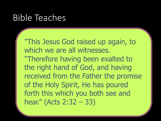**This Jesus God raised up again, to** which we are all witnesses. "Therefore having been exalted to  $\frac{1}{2}$ the right hand of God and having At The Fight Tight of Times the right hand of God, and having received from the Father the promise of the Holy Spirit, He has poured forth this which you both see and hear." (Acts 2:32 – 33)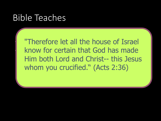| "Therefore let all the house of Israel  $\parallel$  know for certain that God has made Him both Lord and Christ-- this Jesus  $Mh$ *KITOHT YOU* CIUCH whom you crucified." (Acts 2:36)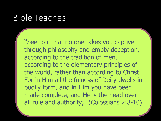See to it that no one takes you captive  $\parallel$  through philosophy and empty deception, according to the tradition of men, according to the elementary principles of the world, rather than according to Christ. For in Him all the fulness of Deity dwells in bodily form, and in Him you have been made complete, and He is the head over all rule and authority;" (Colossians 2:8-10)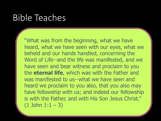What was from the beginning, what we have **Finding** Finding with the Thought Schools of Thomas Schools of Thomas Schools Schools Schools Schools Schools School Word of Life--and the life was manifested, and we have seen and bear witness and proclaim to you he **eternal life** which heard, what we have seen with our eyes, what we beheld and our hands handled, concerning the the **eternal life**, which was with the Father and was manifested to us--what we have seen and heard we proclaim to you also, that you also may have fellowship with us; and indeed our fellowship is with the Father, and with His Son Jesus Christ."  $(1$  John  $1:1 - 3)$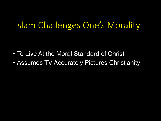### Islam Challenges One's Morality

- To Live At the Moral Standard of Christ
- Assumes TV Accurately Pictures Christianity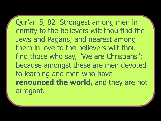Qur'an 5, 82 Strongest among men in<br>Anglic to the holiovers wilt thou find the find those who say, "We are Christians": because amongst these are men devoted Qur'an 5, 82 Strongest among men in enmity to the believers wilt thou find the Jews and Pagans; and nearest among them in love to the believers wilt thou to learning and men who have **renounced the world,** and they are not arrogant.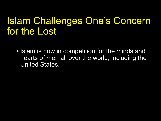# Islam Challenges One's Concern for the Lost

• Islam is now in competition for the minds and hearts of men all over the world, including the United States.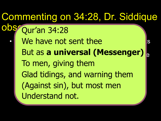# Commenting on 34:28, Dr. Siddique

- obs/ Our'a Qur'an 34:28
	- We have not sent thee states of  $\sim$  18  $\left| \n\begin{array}{ccc} \n\text{D} & \text{A} & \text{A} & \text{B} & \text{B} & \text{B} & \text{B} & \text{B} & \text{B} & \text{B} & \text{B} & \text{B} & \text{B} & \text{B} & \text{B} & \text{B} & \text{B} & \text{B} & \text{B} & \text{B} & \text{B} & \text{B} & \text{B} & \text{B} & \text{B} & \text{B} &$ **| But as a universal (Messenger)**  $\epsilon$ | To men, giving them Glad tidings, and warning them (Against sin), but most men Understand not.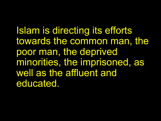Islam is directing its efforts

towards the common man, the poor man, the deprived minorities, the imprisoned, as well as the affluent and educated.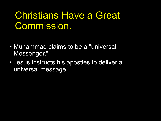# Christians Have a Great Commission.

- Muhammad claims to be a "universal Messenger,"
- Jesus instructs his apostles to deliver a universal message.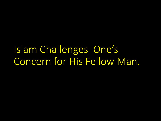Islam Challenges One's Concern for His Fellow Man.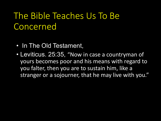- In The Old Testament,
- Leviticus. 25:35, "Now in case a countryman of yours becomes poor and his means with regard to you falter, then you are to sustain him, like a stranger or a sojourner, that he may live with you."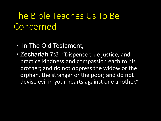- In The Old Testament,
- Zechariah 7:8 "Dispense true justice, and practice kindness and compassion each to his brother; and do not oppress the widow or the orphan, the stranger or the poor; and do not devise evil in your hearts against one another."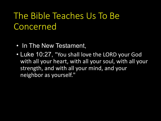- In The New Testament,
- Luke 10:27, "You shall love the LORD your God with all your heart, with all your soul, with all your strength, and with all your mind, and your neighbor as yourself."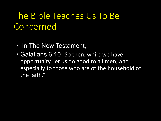- In The New Testament,
- Galatians 6:10 "So then, while we have opportunity, let us do good to all men, and especially to those who are of the household of the faith."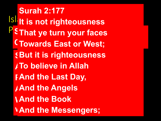**Islam Challenges the Christian Christian Christian Christian Christian Christian Christian Christian Christian Christian Christian Christian Christian Christian Christian Christian Christian Christian Christian Christian P S That ye turn your faith.** • By his being more socially aware and <u>**Sut it is ri**</u> **And in the teaching of the teaching of the teaching of the teaching of the**  $\mathbf{r}$ **FAnd the Last Day, The Last Starting And the Angels**  $\qquad \qquad$ **n I And the Book in** *provided as <b><i>downal* **WAnd the Messengers; CTowards East or West: And to provide the providence of the charity of the charity of the charity of the charity of the charity of the**<br>The charity of the charity of the charity of the charity of the charity of the charity of the charity of the This fill indirendences **Which ye have made, And the best of vices, the first set of vices (set of vices) Ducitionghicousile And adventure in Advertising And the Last Da** Alla the Allgers of parties of parties of parties of parties of parties of parties of parties of parties of par<br>Alla the Allgers of parties of parties of parties of parties of parties of parties of parties of parties of pa **To spend of your substance, Surah 2:177 It is not righteousness For your kin That ye turn your faces Towards East or West; But it is righteousness For the wayfarer To believe in Allah For those who ask, And the Last Day, And for the ransom of slaves; And the Angels**